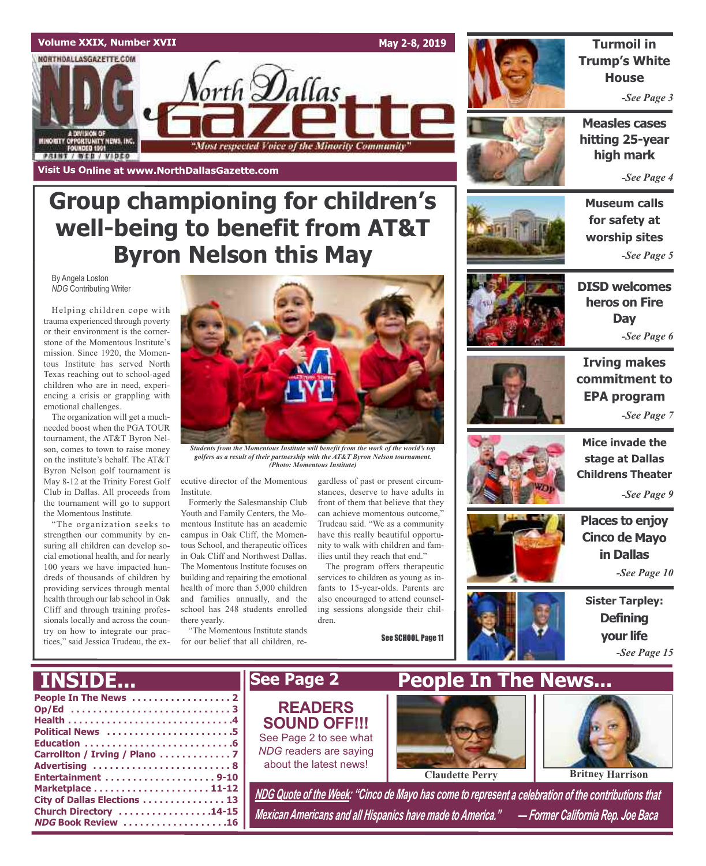### **Volume XXIX, Number XVII**

NORTHDALLASGAZETTE.COM

MINORITY OPPORTUNITY NEWS, INC.<br>FOUNDED 1991

**PRINT / WEB / VIDEO** 

**Visit Us Online at www.NorthDallasGazette.com**

**May 2-8, 2019**



**Turmoil in Trump's White House**

*-See Page 3*

**Measles cases hitting 25-year high mark**

*-See Page 4*

## **Museum calls for safety at worship sites**

**DISD welcomes** *-See Page 5*





**Irving makes commitment to EPA program** *-See Page 7*



**Mice invade the stage at Dallas Childrens Theater**

*-See Page 9*

**Places to enjoy Cinco de Mayo in Dallas** *-See Page 10*

**Sister Tarpley: Defining your life** *-See Page 15*

# **Group championing for children's well-being to benefit from AT&T Byron Nelson this May**

orth **D**allas

"Most respected Voice of the Minority Community"

By Angela Loston *NDG* Contributing Writer

Helping children cope with trauma experienced through poverty or their environment is the cornerstone of the Momentous Institute's mission. Since 1920, the Momentous Institute has served North Texas reaching out to school-aged children who are in need, experiencing a crisis or grappling with emotional challenges.

The organization will get a muchneeded boost when the PGA TOUR tournament, the AT&T Byron Nelson, comes to town to raise money on the institute's behalf. The AT&T Byron Nelson golf tournament is May 8-12 at the Trinity Forest Golf Club in Dallas. All proceeds from the tournament will go to support the Momentous Institute.

"The organization seeks to strengthen our community by ensuring all children can develop social emotional health, and for nearly 100 years we have impacted hundreds of thousands of children by providing services through mental health through our lab school in Oak Cliff and through training professionals locally and across the country on how to integrate our practices," said Jessica Trudeau, the ex-

**Church Directory . . . . . . . . . . . . . . . . .14-15 NDG Book Review . . . . . . . . . . . . . . . . . . .16**



*Students from the Momentous Institute will benefit from the work of the world's top golfers as a result of their partnership with the AT&T Byron Nelson tournament. (Photo: Momentous Institute)*

ecutive director of the Momentous Institute.

Formerly the Salesmanship Club Youth and Family Centers, the Momentous Institute has an academic campus in Oak Cliff, the Momentous School, and therapeutic offices in Oak Cliff and Northwest Dallas. The Momentous Institute focuses on building and repairing the emotional health of more than 5,000 children and families annually, and the school has 248 students enrolled there yearly.

"The Momentous Institute stands for our belief that all children, re-

gardless of past or present circumstances, deserve to have adults in front of them that believe that they can achieve momentous outcome,' Trudeau said. "We as a community have this really beautiful opportunity to walk with children and families until they reach that end."

The program offers therapeutic services to children as young as infants to 15-year-olds. Parents are also encouraged to attend counseling sessions alongside their children.

See SCHOOL, Page 11



*Mexican Americans and all Hispanics have made to America." — Former California Rep. Joe Baca*





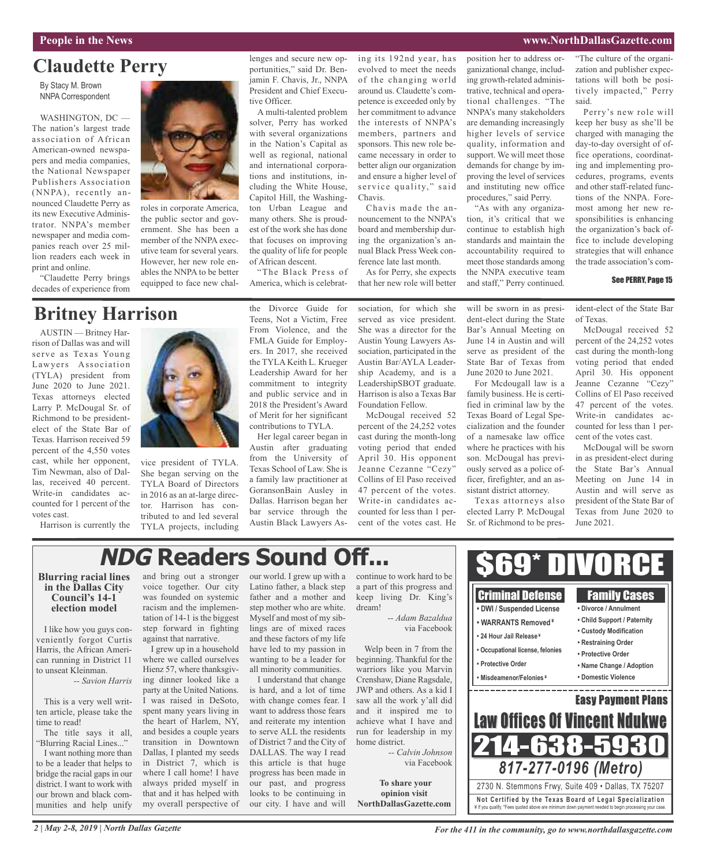### **People in the News www.NorthDallasGazette.com**

### **Claudette Perry**

By Stacy M. Brown NNPA Correspondent

WASHINGTON, DC — The nation's largest trade association of African American-owned newspapers and media companies, the National Newspaper Publishers Association (NNPA), recently announced Claudette Perry as its new Executive Administrator. NNPA's member newspaper and media companies reach over 25 million readers each week in print and online.

"Claudette Perry brings decades of experience from



roles in corporate America, the public sector and government. She has been a member of the NNPA executive team for several years. However, her new role enables the NNPA to be better equipped to face new challenges and secure new opportunities," said Dr. Benjamin F. Chavis, Jr., NNPA President and Chief Executive Officer.

A multi-talented problem solver, Perry has worked with several organizations in the Nation's Capital as well as regional, national and international corporations and institutions, including the White House, Capitol Hill, the Washington Urban League and many others. She is proudest of the work she has done that focuses on improving the quality of life for people of African descent.

"The Black Press of America, which is celebrating its 192nd year, has evolved to meet the needs of the changing world around us. Claudette's competence is exceeded only by her commitment to advance the interests of NNPA's members, partners and sponsors. This new role became necessary in order to better align our organization and ensure a higher level of service quality," said Chavis.

Chavis made the announcement to the NNPA's board and membership during the organization's annual Black Press Week conference late last month.

As for Perry, she expects that her new role will better position her to address organizational change, including growth-related administrative, technical and operational challenges. "The NNPA's many stakeholders are demanding increasingly higher levels of service quality, information and support. We will meet those demands for change by improving the level of services and instituting new office procedures," said Perry.

"As with any organization, it's critical that we continue to establish high standards and maintain the accountability required to meet those standards among the NNPA executive team and staff," Perry continued.

"The culture of the organization and publisher expectations will both be positively impacted," Perry said.

Perry's new role will keep her busy as she'll be charged with managing the day-to-day oversight of office operations, coordinating and implementing procedures, programs, events and other staff-related functions of the NNPA. Foremost among her new responsibilities is enhancing the organization's back office to include developing strategies that will enhance the trade association's com-

#### See PERRY, Page 15

ident-elect of the State Bar of Texas.

McDougal received 52 percent of the 24,252 votes cast during the month-long voting period that ended April 30. His opponent Jeanne Cezanne "Cezy" Collins of El Paso received 47 percent of the votes. Write-in candidates accounted for less than 1 percent of the votes cast.

McDougal will be sworn in as president-elect during the State Bar's Annual Meeting on June 14 in Austin and will serve as president of the State Bar of Texas from June 2020 to June 2021.



vice president of TYLA. She began serving on the TYLA Board of Directors in 2016 as an at-large director. Harrison has contributed to and led several TYLA projects, including

the Divorce Guide for Teens, Not a Victim, Free From Violence, and the FMLA Guide for Employers. In 2017, she received the TYLA Keith L. Krueger Leadership Award for her commitment to integrity and public service and in 2018 the President's Award of Merit for her significant contributions to TYLA.

Her legal career began in Austin after graduating from the University of Texas School of Law. She is a family law practitioner at GoransonBain Ausley in Dallas. Harrison began her bar service through the Austin Black Lawyers Association, for which she served as vice president. She was a director for the Austin Young Lawyers Association, participated in the Austin Bar/AYLA Leadership Academy, and is a LeadershipSBOT graduate. Harrison is also a Texas Bar Foundation Fellow.

McDougal received 52 percent of the 24,252 votes cast during the month-long voting period that ended April 30. His opponent Jeanne Cezanne "Cezy" Collins of El Paso received 47 percent of the votes. Write-in candidates accounted for less than 1 percent of the votes cast. He will be sworn in as president-elect during the State Bar's Annual Meeting on June 14 in Austin and will serve as president of the State Bar of Texas from June 2020 to June 2021.

For Mcdougall law is a family business. He is certified in criminal law by the Texas Board of Legal Specialization and the founder of a namesake law office where he practices with his son. McDougal has previously served as a police officer, firefighter, and an assistant district attorney.

Texas attorneys also elected Larry P. McDougal Sr. of Richmond to be pres-

# **NDG Readers Sound Off...**

### **Blurring racial lines in the Dallas City Council's 14-1 election model**

Harrison is currently the

cast, while her opponent, Tim Newman, also of Dallas, received 40 percent. Write-in candidates accounted for 1 percent of the

votes cast.

I like how you guys conveniently forgot Curtis Harris, the African American running in District 11 to unseat Kleinman.

*-- Savion Harris*

This is a very well written article, please take the time to read!

The title says it all, "Blurring Racial Lines..."

I want nothing more than to be a leader that helps to bridge the racial gaps in our district. I want to work with our brown and black communities and help unify and bring out a stronger voice together. Our city was founded on systemic racism and the implementation of 14-1 is the biggest step forward in fighting against that narrative.

I grew up in a household where we called ourselves Hienz 57, where thanksgiving dinner looked like a party at the United Nations. I was raised in DeSoto, spent many years living in the heart of Harlem, NY, and besides a couple years transition in Downtown Dallas, I planted my seeds in District 7, which is where I call home! I have always prided myself in that and it has helped with my overall perspective of

our world. I grew up with a Latino father, a black step father and a mother and step mother who are white. Myself and most of my siblings are of mixed races and these factors of my life have led to my passion in wanting to be a leader for all minority communities.

I understand that change is hard, and a lot of time with change comes fear. I want to address those fears and reiterate my intention to serve ALL the residents of District 7 and the City of DALLAS. The way I read this article is that huge progress has been made in our past, and progress looks to be continuing in our city. I have and will

continue to work hard to be a part of this progress and keep living Dr. King's dream! *-- Adam Bazaldua*

via Facebook

Welp been in 7 from the beginning. Thankful for the warriors like you Marvin Crenshaw, Diane Ragsdale, JWP and others. As a kid I saw all the work y'all did and it inspired me to achieve what I have and run for leadership in my home district.

*-- Calvin Johnson* via Facebook

**To share your opinion visit NorthDallasGazette.com**



*2 | May 2-8, 2019 | North Dallas Gazette*

*For the 411 in the community, go to www.northdallasgazette.com*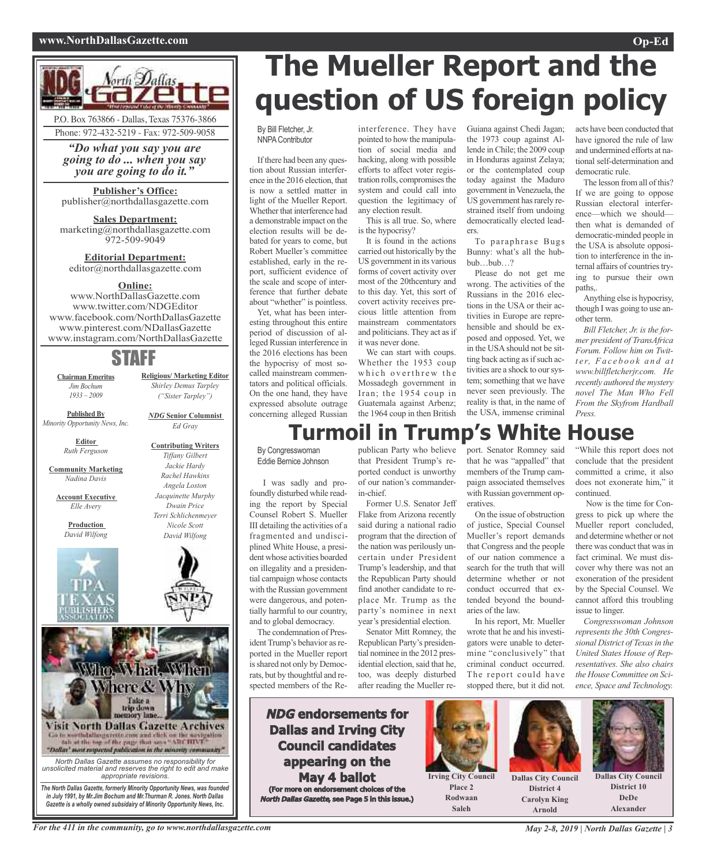#### **www.NorthDallasGazette.com Op-Ed**



*"Do what you say you are going to do ... when you say you are going to do it."*

**Publisher's Office:** publisher@northdallasgazette.com

**Sales Department:** marketing@northdallasgazette.com 972-509-9049

**Editorial Department:** editor@northdallasgazette.com

### **Online:**

www.NorthDallasGazette.com www.twitter.com/NDGEditor www.facebook.com/NorthDallasGazette www.pinterest.com/NDallasGazette www.instagram.com/NorthDallasGazette

## STAFF

**Chairman Emeritus** *Jim Bochum 1933 – 2009*

*("Sister Tarpley") NDG* **Senior Columnist**

**Religious/ Marketing Editor** *Shirley Demus Tarpley*

*Ed Gray*

**Contributing Writers** *Tiffany Gilbert Jackie Hardy Rachel Hawkins Angela Loston Jacquinette Murphy Dwain Price Terri Schlichenmeyer Nicole Scott David Wilfong*

**Published By** *Minority Opportunity News, Inc.*

> **Editor** *Ruth Ferguson*

**Community Marketing** *Nadina Davis*

**Account Executive**

*Elle Avery* **Production** *David Wilfong*





*Gazette is a wholly owned subsidairy of Minority Opportunity News, Inc.*

# **The Mueller Report and the question of US foreign policy**

By Bill Fletcher, Jr. NNPAContributor

If there had been any question about Russian interference in the 2016 election, that is now a settled matter in light of the Mueller Report. Whether that interference had a demonstrable impact on the election results will be debated for years to come, but Robert Mueller's committee established, early in the report, sufficient evidence of the scale and scope of interference that further debate about "whether" is pointless.

Yet, what has been interesting throughout this entire period of discussion of alleged Russian interference in the 2016 elections has been the hypocrisy of most socalled mainstream commentators and political officials. On the one hand, they have expressed absolute outrage concerning alleged Russian interference. They have pointed to how the manipulation of social media and hacking, along with possible efforts to affect voter registration rolls, compromises the system and could call into question the legitimacy of any election result.

This is all true. So, where is the hypocrisy?

It is found in the actions carried out historically by the US government in its various forms of covert activity over most of the 20thcentury and to this day. Yet, this sort of covert activity receives precious little attention from mainstream commentators and politicians. They act as if it was never done.

We can start with coups. Whether the 1953 coup which overthrew the Mossadegh government in Iran; the 1954 coup in Guatemala against Arbenz; the 1964 coup in then British

Guiana against Chedi Jagan; the 1973 coup against Allende in Chile; the 2009 coup in Honduras against Zelaya; or the contemplated coup today against the Maduro government in Venezuela, the US government has rarely restrained itself from undoing democratically elected leaders.

To paraphrase Bugs Bunny: what's all the hubbub…bub…?

Please do not get me wrong. The activities of the Russians in the 2016 elections in the USA or their activities in Europe are reprehensible and should be exposed and opposed. Yet, we in the USA should not be sitting back acting as if such activities are a shock to our system; something that we have never seen previously. The reality is that, in the name of the USA, immense criminal

acts have been conducted that have ignored the rule of law and undermined efforts at national self-determination and democratic rule.

The lesson from all of this? If we are going to oppose Russian electoral interference—which we should then what is demanded of democratic-minded people in the USA is absolute opposition to interference in the internal affairs of countries trying to pursue their own paths,.

Anything else is hypocrisy, though I was going to use another term.

*Bill Fletcher, Jr. is the former president of TransAfrica Forum. Follow him on Twitt e r, Fa c e b o o k a n d a t www.billfletcherjr.com. He recently authored the mystery novel The Man Who Fell From the Skyfrom Hardball Press.*

# **Turmoil in Trump's White House**

By Congresswoman Eddie Bernice Johnson

I was sadly and profoundly disturbed while reading the report by Special Counsel Robert S. Mueller III detailing the activities of a fragmented and undisciplined White House, a president whose activities boarded on illegality and a presidential campaign whose contacts with the Russian government were dangerous, and potentially harmful to our country, and to global democracy.

The condemnation of President Trump's behavior as reported in the Mueller report is shared not only by Democrats, but by thoughtful and respected members of the Republican Party who believe that President Trump's reported conduct is unworthy of our nation's commanderin-chief. Former U.S. Senator Jeff

Flake from Arizona recently said during a national radio program that the direction of the nation was perilously uncertain under President Trump's leadership, and that the Republican Party should find another candidate to replace Mr. Trump as the party's nominee in next year's presidential election.

Senator Mitt Romney, the Republican Party's presidential nominee in the 2012 presidential election, said that he, too, was deeply disturbed after reading the Mueller re-

**NDG endorsements for Dallas and Irving City Council candidates appearing on the May 4 ballot (For more on endorsement choices of the North Dallas Gazette, see Page 5 in this issue.)** port. Senator Romney said that he was "appalled" that members of the Trump campaign associated themselves with Russian government operatives.

On the issue of obstruction of justice, Special Counsel Mueller's report demands that Congress and the people of our nation commence a search for the truth that will determine whether or not conduct occurred that extended beyond the boundaries of the law.

In his report, Mr. Mueller wrote that he and his investigators were unable to determine "conclusively" that criminal conduct occurred. The report could have stopped there, but it did not.

"While this report does not conclude that the president committed a crime, it also does not exonerate him," it continued.

Now is the time for Congress to pick up where the Mueller report concluded, and determine whether or not there was conduct that was in fact criminal. We must discover why there was not an exoneration of the president by the Special Counsel. We cannot afford this troubling issue to linger.

*Congresswoman Johnson represents the 30th Congressional District of Texasin the United States House of Representatives. She also chairs the House Committee on Science, Space and Technology.*



**Place 2 Rodwaan Saleh**

**Dallas City Council District 4 Carolyn King Arnold**



**Dallas City Council District 10 DeDe Alexander**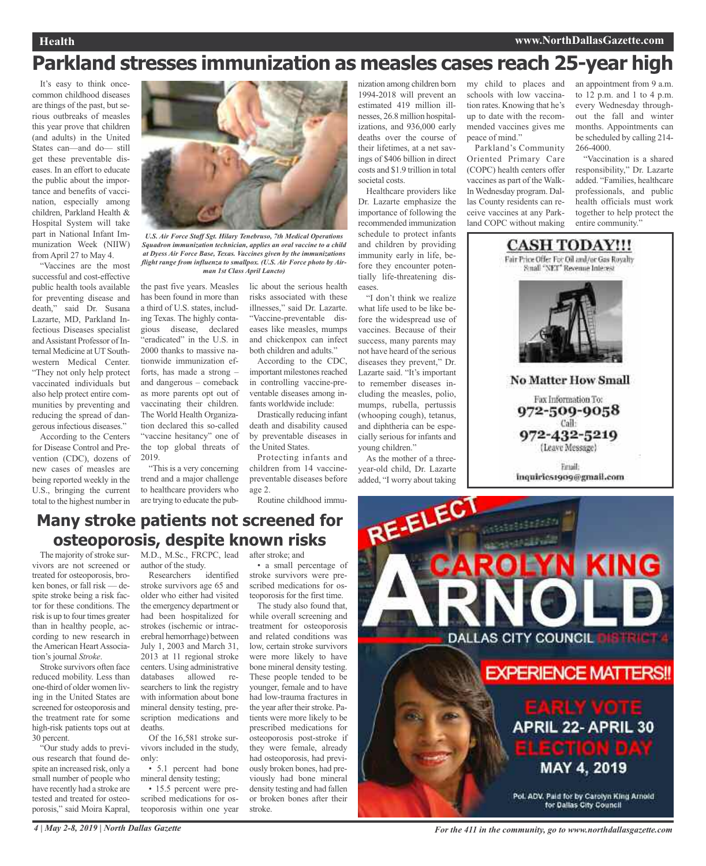### **Health www.NorthDallasGazette.com**

# **Parkland stresses immunization as measles cases reach 25-year high**

It's easy to think oncecommon childhood diseases are things of the past, but serious outbreaks of measles this year prove that children (and adults) in the United States can—and do— still get these preventable diseases. In an effort to educate the public about the importance and benefits of vaccination, especially among children, Parkland Health & Hospital System will take part in National Infant Immunization Week (NIIW) from April 27 to May 4.

"Vaccines are the most successful and cost-effective public health tools available for preventing disease and death," said Dr. Susana Lazarte, MD, Parkland Infectious Diseases specialist andAssistant Professor of Internal Medicine at UT Southwestern Medical Center. "They not only help protect vaccinated individuals but also help protect entire communities by preventing and reducing the spread of dangerous infectious diseases."

According to the Centers for Disease Control and Prevention (CDC), dozens of new cases of measles are being reported weekly in the U.S., bringing the current total to the highest number in



*U.S. Air Force Staff Sgt. Hilary Tenebruso, 7th Medical Operations Squadron immunization technician, applies an oral vaccine to a child at Dyess Air Force Base, Texas. Vaccines given by the immunizations flight range from influenza to smallpox. (U.S. Air Force photo by Airman 1st Class April Lancto)*

the past five years. Measles has been found in more than a third of U.S. states, including Texas. The highly contagious disease, declared "eradicated" in the U.S. in 2000 thanks to massive nationwide immunization efforts, has made a strong – and dangerous – comeback as more parents opt out of vaccinating their children. The World Health Organization declared this so-called "vaccine hesitancy" one of the top global threats of 2019.

"This is a very concerning trend and a major challenge to healthcare providers who are trying to educate the public about the serious health risks associated with these illnesses," said Dr. Lazarte. "Vaccine-preventable diseases like measles, mumps and chickenpox can infect both children and adults."

According to the CDC, important milestones reached in controlling vaccine-preventable diseases among infants worldwide include:

Drastically reducing infant death and disability caused by preventable diseases in the United States.

Protecting infants and children from 14 vaccinepreventable diseases before age 2.

Routine childhood immu-

nization among children born 1994-2018 will prevent an estimated 419 million illnesses, 26.8 million hospitalizations, and 936,000 early deaths over the course of their lifetimes, at a net savings of \$406 billion in direct costs and \$1.9 trillion in total societal costs.

Healthcare providers like Dr. Lazarte emphasize the importance of following the recommended immunization schedule to protect infants and children by providing immunity early in life, before they encounter potentially life-threatening diseases.

"I don't think we realize what life used to be like before the widespread use of vaccines. Because of their success, many parents may not have heard of the serious diseases they prevent," Dr. Lazarte said. "It's important to remember diseases including the measles, polio, mumps, rubella, pertussis (whooping cough), tetanus, and diphtheria can be especially serious for infants and young children."

As the mother of a threeyear-old child, Dr. Lazarte added, "I worry about taking my child to places and schools with low vaccination rates. Knowing that he's up to date with the recommended vaccines gives me peace of mind."

Parkland's Community Oriented Primary Care (COPC) health centers offer vaccines as part of the Walk-In Wednesday program. Dallas County residents can receive vaccines at any Parkland COPC without making

an appointment from 9 a.m. to 12 p.m. and 1 to 4 p.m. every Wednesday throughout the fall and winter months. Appointments can be scheduled by calling 214- 266-4000.

"Vaccination is a shared responsibility," Dr. Lazarte added. "Families, healthcare professionals, and public health officials must work together to help protect the entire community."



### **Many stroke patients not screened for osteoporosis, despite known risks**

The majority of stroke survivors are not screened or treated for osteoporosis, broken bones, or fall risk — despite stroke being a risk factor for these conditions. The risk is up to four times greater than in healthy people, according to new research in the American Heart Association's journal *Stroke*.

Stroke survivors often face reduced mobility. Less than one-third of older women living in the United States are screened for osteoporosis and the treatment rate for some high-risk patients tops out at 30 percent.

"Our study adds to previous research that found despite an increased risk, only a small number of people who have recently had a stroke are tested and treated for osteoporosis," said Moira Kapral,

M.D., M.Sc., FRCPC, lead after stroke; and author of the study.

Researchers identified stroke survivors age 65 and older who either had visited the emergency department or had been hospitalized for strokes (ischemic or intracerebral hemorrhage) between July 1, 2003 and March 31, 2013 at 11 regional stroke centers. Using administrative databases allowed researchers to link the registry with information about bone mineral density testing, prescription medications and deaths.

Of the 16,581 stroke survivors included in the study, only:

• 5.1 percent had bone mineral density testing;

• 15.5 percent were prescribed medications for osteoporosis within one year

• a small percentage of stroke survivors were prescribed medications for osteoporosis for the first time.

The study also found that, while overall screening and treatment for osteoporosis and related conditions was low, certain stroke survivors were more likely to have bone mineral density testing. These people tended to be younger, female and to have had low-trauma fractures in the year after their stroke. Patients were more likely to be prescribed medications for osteoporosis post-stroke if they were female, already had osteoporosis, had previously broken bones, had previously had bone mineral density testing and had fallen or broken bones after their stroke.

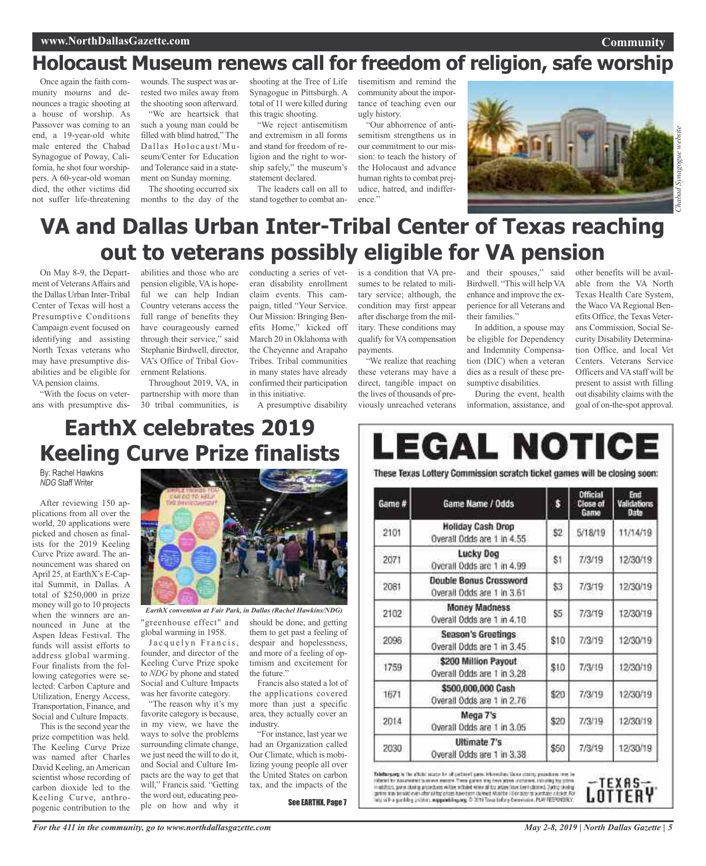#### **Community**

# **Holocaust Museum renews call for freedom of religion, safe worship**

Once again the faith community mourns and denounces a tragic shooting at a house of worship. As Passover was coming to an end, a 19-year-old white male entered the Chabad Synagogue of Poway, California, he shot four worshippers. A 60-year-old woman died, the other victims did not suffer life-threatening

wounds. The suspect was arrested two miles away from the shooting soon afterward.

"We are heartsick that such a young man could be filled with blind hatred," The Dallas Holocaust/Museum/Center for Education and Tolerance said in a statement on Sunday morning.

The shooting occurred six months to the day of the

shooting at the Tree of Life Synagogue in Pittsburgh. A total of 11 were killed during this tragic shooting.

"We reject antisemitism and extremism in all forms and stand for freedom of religion and the right to worship safely," the museum's statement declared.

The leaders call on all to stand together to combat antisemitism and remind the community about the importance of teaching even our ugly history.

"Our abhorrence of antisemitism strengthens us in our commitment to our mission: to teach the history of the Holocaust and advance human rights to combat prejudice, hatred, and indifference."



# **VA and Dallas Urban Inter-Tribal Center of Texas reaching out to veterans possibly eligible for VA pension**

On May 8-9, the Department of VeteransAffairs and the Dallas Urban Inter-Tribal Center of Texas will host a Presumptive Conditions Campaign event focused on identifying and assisting North Texas veterans who may have presumptive disabilities and be eligible for VA pension claims.

"With the focus on veterans with presumptive dis-

abilities and those who are conducting a series of vetpension eligible, VAis hopeful we can help Indian Country veterans access the full range of benefits they have courageously earned through their service," said Stephanie Birdwell, director, VA's Office of Tribal Government Relations.

Throughout 2019, VA, in partnership with more than 30 tribal communities, is

eran disability enrollment claim events. This campaign, titled "Your Service. Our Mission: Bringing Benefits Home," kicked off March 20 in Oklahoma with the Cheyenne and Arapaho Tribes. Tribal communities in many states have already confirmed their participation in this initiative.

A presumptive disability

is a condition that VA presumes to be related to military service; although, the condition may first appear after discharge from the military. These conditions may qualify for VA compensation payments.

"We realize that reaching these veterans may have a direct, tangible impact on the lives of thousands of previously unreached veterans

and their spouses," said Birdwell. "This will help VA enhance and improve the experience for all Veterans and their families."

In addition, a spouse may be eligible for Dependency and Indemnity Compensation (DIC) when a veteran dies as a result of these presumptive disabilities.

During the event, health information, assistance, and other benefits will be available from the VA North Texas Health Care System, the Waco VA Regional Benefits Office, the Texas Veterans Commission, Social Security Disability Determination Office, and local Vet Centers. Veterans Service Officers and VAstaff will be present to assist with filling out disability claims with the goal of on-the-spot approval.

# **EarthX celebrates 2019 Keeling Curve Prize finalists**

By: Rachel Hawkins *NDG* Staff Writer

After reviewing 150 applications from all over the world, 20 applications were picked and chosen as finalists for the 2019 Keeling Curve Prize award. The announcement was shared on April 25, at EarthX's E-Capital Summit, in Dallas. A total of \$250,000 in prize money will go to 10 projects when the winners are announced in June at the Aspen Ideas Festival. The funds will assist efforts to address global warming. Four finalists from the following categories were selected: Carbon Capture and Utilization, Energy Access, Transportation, Finance, and Social and Culture Impacts.

This is the second year the prize competition was held. The Keeling Curve Prize was named after Charles David Keeling, an American scientist whose recording of carbon dioxide led to the Keeling Curve, anthropogenic contribution to the



*EarthX convention at Fair Park, in Dallas (Rachel Hawkins/NDG)*

"greenhouse effect" and global warming in 1958.

Jacquelyn Francis, founder, and director of the Keeling Curve Prize spoke to *NDG* by phone and stated Social and Culture Impacts was her favorite category.

"The reason why it's my favorite category is because, in my view, we have the ways to solve the problems surrounding climate change, we just need the will to do it, and Social and Culture Impacts are the way to get that will," Francis said. "Getting the word out, educating people on how and why it

should be done, and getting them to get past a feeling of despair and hopelessness, and more of a feeling of optimism and excitement for the future."

Francis also stated a lot of the applications covered more than just a specific area, they actually cover an industry.

"For instance, last year we had an Organization called Our Climate, which is mobilizing young people all over the United States on carbon tax, and the impacts of the

See EARTHX, Page 7

LEGAL NOTICE These Texas Lottery Commission scratch ticket games will be closing soon: **Official** End Game Name / Odds Close of s Game # Validations Date **Holiday Cash Drop** 2101 \$2 5/18/19 11/14/19 Overall Odds are 1 in 4.55 Lucky Dog 2071 \$1 7/3/19 12/30/19 Overall Odds are 1 in 4.99 **Double Bonus Crossword** 2081 \$3 7/3/19 12/30/19 Overall Odds are 1 in 3.61 **Money Madness** 2102 \$5 7/3/19 12/30/19 Overall Odds are 1 in 4.10 **Season's Greetings** 2096 \$10 7/3/19 12/30/19 Overall Odds are 1 in 3.45 \$200 Million Payout 1759  $$10$ 7/3/19 12/30/19 Overall Odds are 1 in 3.28 \$500,000,000 Cash 1671 \$20 7/3/19 12/30/19 Overall Odds are 1 in 2.76 Mega 7's 2014 \$20 7/3/19 12/30/19 Overall Odds are 1 in 3.05 Ultimate 7's 2030 7/3/19 12/30/19 \$50 Overall Odds are 1 in 3.38

Tabiforgang is the affects succe for all perfored parts. Information Come strating procedures may be vidented for Assumediac) is amount temporal Transit power may have accordinate including the islamit<br>Installatin, parte show is procedured within withded when all but when them been sharined. During showing<br>garines way be

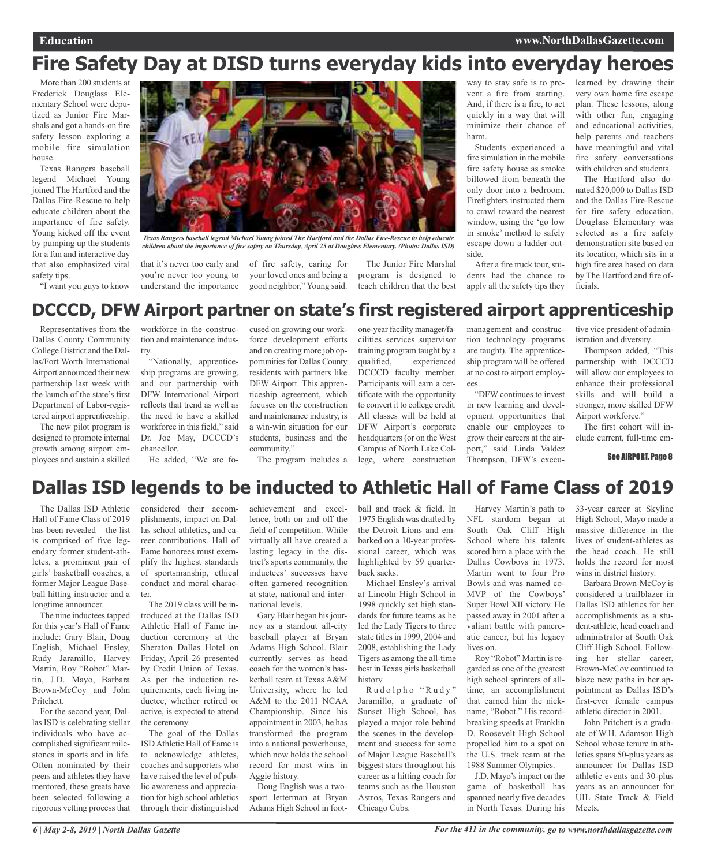# **Fire Safety Day at DISD turns everyday kids into everyday heroes**

More than 200 students at Frederick Douglass Elementary School were deputized as Junior Fire Marshals and got a hands-on fire safety lesson exploring a mobile fire simulation house.

Texas Rangers baseball legend Michael Young joined The Hartford and the Dallas Fire-Rescue to help educate children about the importance of fire safety. Young kicked off the event by pumping up the students for a fun and interactive day that also emphasized vital safety tips.

"I want you guys to know



*Texas Rangers baseball legend Michael Young joined The Hartford and the Dallas Fire-Rescue to help educate* children about the importance of fire safety on Thursday, April 25 at Douglass Elementary, (Photo: Dallas ISD)

that it's never too early and you're never too young to understand the importance

of fire safety, caring for your loved ones and being a good neighbor," Young said.

The Junior Fire Marshal program is designed to teach children that the best

way to stay safe is to prevent a fire from starting. And, if there is a fire, to act quickly in a way that will minimize their chance of harm.

Students experienced a fire simulation in the mobile fire safety house as smoke billowed from beneath the only door into a bedroom. Firefighters instructed them to crawl toward the nearest window, using the 'go low in smoke' method to safely escape down a ladder outside.

After a fire truck tour, students had the chance to apply all the safety tips they

learned by drawing their very own home fire escape plan. These lessons, along with other fun, engaging and educational activities, help parents and teachers have meaningful and vital fire safety conversations with children and students.

The Hartford also donated \$20,000 to Dallas ISD and the Dallas Fire-Rescue for fire safety education. Douglass Elementary was selected as a fire safety demonstration site based on its location, which sits in a high fire area based on data by The Hartford and fire officials.

### **DCCCD, DFW Airport partner on state's first registered airport apprenticeship**

Representatives from the Dallas County Community College District and the Dallas/Fort Worth International Airport announced their new partnership last week with the launch of the state's first Department of Labor-registered airport apprenticeship.

The new pilot program is designed to promote internal growth among airport employees and sustain a skilled

workforce in the construction and maintenance industry.

"Nationally, apprenticeship programs are growing, and our partnership with DFW International Airport reflects that trend as well as the need to have a skilled workforce in this field," said Dr. Joe May, DCCCD's chancellor.

He added, "We are fo-

cused on growing our workforce development efforts and on creating more job opportunities for Dallas County residents with partners like DFW Airport. This apprenticeship agreement, which focuses on the construction and maintenance industry, is a win-win situation for our students, business and the community."

The program includes a

one-year facility manager/facilities services supervisor training program taught by a qualified, experienced DCCCD faculty member. Participants will earn a certificate with the opportunity to convert it to college credit. All classes will be held at DFW Airport's corporate headquarters (or on the West Campus of North Lake College, where construction

management and construction technology programs are taught). The apprenticeship program will be offered at no cost to airport employ- $\rho \rho g$ 

"DFW continues to invest in new learning and development opportunities that enable our employees to grow their careers at the airport," said Linda Valdez Thompson, DFW's executive vice president of administration and diversity.

Thompson added, "This partnership with DCCCD will allow our employees to enhance their professional skills and will build a stronger, more skilled DFW Airport workforce."

The first cohort will include current, full-time em-

See AIRPORT, Page 8

### **Dallas ISD legends to be inducted to Athletic Hall of Fame Class of 2019**

The Dallas ISD Athletic Hall of Fame Class of 2019 has been revealed – the list is comprised of five legendary former student-athletes, a prominent pair of girls' basketball coaches, a former Major League Baseball hitting instructor and a longtime announcer.

The nine inductees tapped for this year's Hall of Fame include: Gary Blair, Doug English, Michael Ensley, Rudy Jaramillo, Harvey Martin, Roy "Robot" Martin, J.D. Mayo, Barbara Brown-McCoy and John Pritchett.

For the second year, Dallas ISD is celebrating stellar individuals who have accomplished significant milestones in sports and in life. Often nominated by their peers and athletes they have mentored, these greats have been selected following a rigorous vetting process that

considered their accomplishments, impact on Dallas school athletics, and career contributions. Hall of Fame honorees must exemplify the highest standards of sportsmanship, ethical conduct and moral character.

The 2019 class will be introduced at the Dallas ISD Athletic Hall of Fame induction ceremony at the Sheraton Dallas Hotel on Friday, April 26 presented by Credit Union of Texas. As per the induction requirements, each living inductee, whether retired or active, is expected to attend the ceremony.

The goal of the Dallas ISDAthletic Hall of Fame is to acknowledge athletes, coaches and supporters who have raised the level of public awareness and appreciation for high school athletics through their distinguished

achievement and excellence, both on and off the field of competition. While virtually all have created a lasting legacy in the district's sports community, the inductees' successes have often garnered recognition at state, national and international levels.

Gary Blair began his journey as a standout all-city baseball player at Bryan Adams High School. Blair currently serves as head coach for the women's basketball team at Texas A&M University, where he led A&M to the 2011 NCAA Championship. Since his appointment in 2003, he has transformed the program into a national powerhouse, which now holds the school record for most wins in Aggie history.

Doug English was a twosport letterman at Bryan Adams High School in football and track & field. In 1975 English was drafted by the Detroit Lions and embarked on a 10-year professional career, which was highlighted by 59 quarterback sacks.

Michael Ensley's arrival at Lincoln High School in 1998 quickly set high standards for future teams as he led the Lady Tigers to three state titles in 1999, 2004 and 2008, establishing the Lady Tigers as among the all-time best in Texas girls basketball history.

Rudolpho "Rudy" Jaramillo, a graduate of Sunset High School, has played a major role behind the scenes in the development and success for some of Major League Baseball's biggest stars throughout his career as a hitting coach for teams such as the Houston Astros, Texas Rangers and Chicago Cubs.

Harvey Martin's path to NFL stardom began at South Oak Cliff High School where his talents scored him a place with the Dallas Cowboys in 1973. Martin went to four Pro Bowls and was named co-MVP of the Cowboys' Super Bowl XII victory. He passed away in 2001 after a valiant battle with pancreatic cancer, but his legacy lives on.

Roy "Robot" Martin is regarded as one of the greatest high school sprinters of alltime, an accomplishment that earned him the nickname, "Robot." His recordbreaking speeds at Franklin D. Roosevelt High School propelled him to a spot on the U.S. track team at the 1988 Summer Olympics.

J.D. Mayo'simpact on the game of basketball has spanned nearly five decades in North Texas. During his

33-year career at Skyline High School, Mayo made a massive difference in the lives of student-athletes as the head coach. He still holds the record for most wins in district history.

Barbara Brown-McCoy is considered a trailblazer in Dallas ISD athletics for her accomplishments as a student-athlete, head coach and administrator at South Oak Cliff High School. Following her stellar career, Brown-McCoy continued to blaze new paths in her appointment as Dallas ISD's first-ever female campus athletic director in 2001.

John Pritchett is a graduate of W.H. Adamson High School whose tenure in athletics spans 50-plus years as announcer for Dallas ISD athletic events and 30-plus years as an announcer for UIL State Track & Field Meets.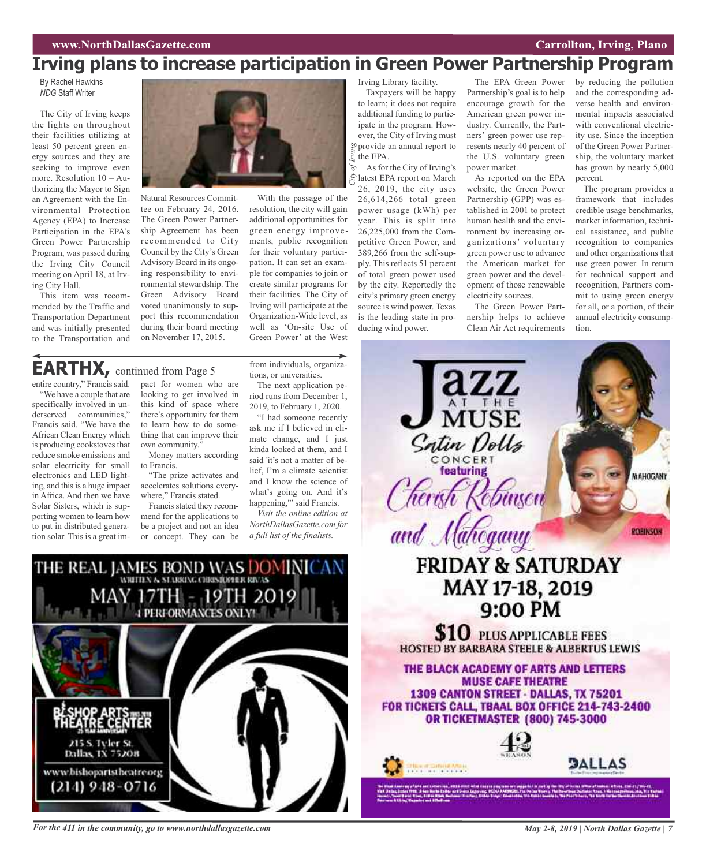## **Irving plans to increase participation in Green Power Partnership Program**

By Rachel Hawkins *NDG* Staff Writer

The City of Irving keeps the lights on throughout their facilities utilizing at least 50 percent green energy sources and they are seeking to improve even more. Resolution 10 – Authorizing the Mayor to Sign an Agreement with the Environmental Protection Agency (EPA) to Increase Participation in the EPA's Green Power Partnership Program, was passed during the Irving City Council meeting on April 18, at Irving City Hall.

This item was recommended by the Traffic and Transportation Department and was initially presented to the Transportation and

Natural Resources Committee on February 24, 2016. The Green Power Partnership Agreement has been recommended to City Council by the City's Green Advisory Board in its ongoing responsibility to environmental stewardship. The Green Advisory Board voted unanimously to support this recommendation during their board meeting

With the passage of the resolution, the city will gain additional opportunities for green energy improvements, public recognition for their voluntary participation. It can set an example for companies to join or create similar programs for their facilities. The City of Irving will participate at the Organization-Wide level, as well as 'On-site Use of Green Power' at the West

Irving Library facility.

Taxpayers will be happy to learn; it does not require additional funding to participate in the program. However, the City of Irving must provide an annual report to the EPA. *City of Irving*

As for the City of Irving's latest EPA report on March 26, 2019, the city uses 26,614,266 total green power usage (kWh) per year. This is split into 26,225,000 from the Competitive Green Power, and 389,266 from the self-supply. This reflects 51 percent of total green power used by the city. Reportedly the city's primary green energy source is wind power. Texas is the leading state in producing wind power.

The EPA Green Power Partnership's goal is to help encourage growth for the American green power industry. Currently, the Partners' green power use represents nearly 40 percent of the U.S. voluntary green power market.

As reported on the EPA website, the Green Power Partnership (GPP) was established in 2001 to protect human health and the environment by increasing organizations' voluntary green power use to advance the American market for green power and the development of those renewable electricity sources.

The Green Power Partnership helps to achieve Clean Air Act requirements

 $\overline{\text{MUSE}}$ 

by reducing the pollution and the corresponding adverse health and environmental impacts associated with conventional electricity use. Since the inception of the Green Power Partnership, the voluntary market has grown by nearly 5,000 percent.

The program provides a framework that includes credible usage benchmarks, market information, technical assistance, and public recognition to companies and other organizations that use green power. In return for technical support and recognition, Partners commit to using green energy for all, or a portion, of their annual electricity consumption.

## **EARTHX,** continued from Page <sup>5</sup>

entire country," Francis said. "We have a couple that are specifically involved in underserved communities," Francis said. "We have the African Clean Energy which is producing cookstoves that reduce smoke emissions and solar electricity for small electronics and LED lighting, and this is a huge impact in Africa. And then we have Solar Sisters, which is supporting women to learn how to put in distributed generation solar. This is a great im-

pact for women who are looking to get involved in this kind of space where there's opportunity for them to learn how to do something that can improve their own community.'

on November 17, 2015.

Money matters according to Francis.

"The prize activates and accelerates solutions everywhere," Francis stated.

Francis stated they recommend for the applications to be a project and not an idea or concept. They can be from individuals, organizations, or universities.

The next application period runs from December 1, 2019, to February 1, 2020.

"I had someone recently ask me if I believed in climate change, and I just kinda looked at them, and I said 'it's not a matter of belief, I'm a climate scientist and I know the science of what's going on. And it's happening," said Francis.

*Visit the online edition at NorthDallasGazette.com for a full list of the finalists.*



For the 411 in the community, go to www.northdallasgazette.com May 2-8, 2019 | North Dallas Gazette | 7

Satin Dolls **featuring** MAHOGANY herish and Mahogany ROBINSON **FRIDAY & SATURDAY** MAY 17-18, 2019<br>9:00 PM **SIO** PLUS APPLICABLE FEES

**HOSTED BY BARBARA STEELE & ALBERTUS LEWIS** 

THE BLACK ACADEMY OF ARTS AND LETTERS **MUSE CAFE THEATRE** 1309 CANTON STREET - DALLAS, TX 75201 FOR TICKETS CALL, TBAAL BOX OFFICE 214-743-2400 **OR TICKETMASTER (800) 745-3000** 



in a scríonn an a

**DALLAS**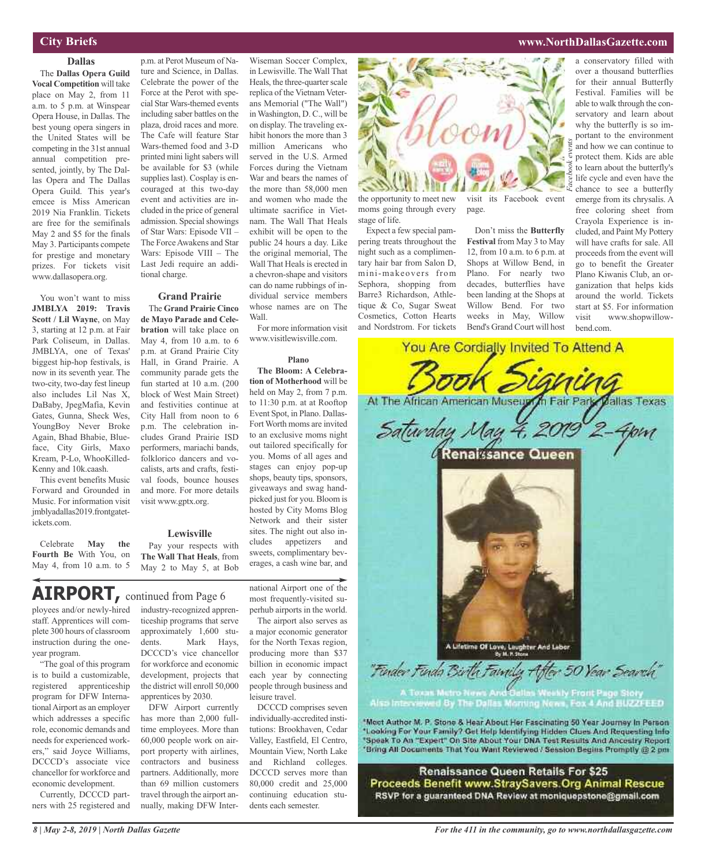### **City Briefs**

**Dallas** The **Dallas Opera Guild Vocal Competition** will take place on May 2, from 11 a.m. to 5 p.m. at Winspear Opera House, in Dallas. The best young opera singers in the United States will be competing in the 31st annual annual competition presented, jointly, by The Dallas Opera and The Dallas Opera Guild. This year's emcee is Miss American 2019 Nia Franklin. Tickets are free for the semifinals May 2 and \$5 for the finals May 3. Participants compete for prestige and monetary prizes. For tickets visit www.dallasopera.org.

You won't want to miss **JMBLYA 2019: Travis Scott / Lil Wayne**, on May 3, starting at 12 p.m. at Fair Park Coliseum, in Dallas. JMBLYA, one of Texas' biggest hip-hop festivals, is now in its seventh year. The two-city, two-day fest lineup also includes Lil Nas X, DaBaby, JpegMafia, Kevin Gates, Gunna, Sheck Wes, YoungBoy Never Broke Again, Bhad Bhabie, Blueface, City Girls, Maxo Kream, P-Lo, WhooKilled-Kenny and 10k.caash.

This event benefits Music Forward and Grounded in Music. For information visit jmblyadallas2019.frontgatetickets.com.

Celebrate **May the Fourth Be** With You, on May 4, from 10 a.m. to 5

p.m. at Perot Museum of Nature and Science, in Dallas. Celebrate the power of the Force at the Perot with special Star Wars-themed events including saber battles on the plaza, droid races and more. The Cafe will feature Star Wars-themed food and 3-D printed mini light sabers will be available for \$3 (while supplies last). Cosplay is encouraged at this two-day event and activities are included in the price of general admission. Special showings of Star Wars: Episode VII – The Force Awakens and Star Wars: Episode VIII – The Last Jedi require an additional charge.

### **Grand Prairie**

The **Grand Prairie Cinco de Mayo Parade and Celebration** will take place on May 4, from 10 a.m. to 6 p.m. at Grand Prairie City Hall, in Grand Prairie. A community parade gets the fun started at 10 a.m. (200 block of West Main Street) and festivities continue at City Hall from noon to 6 p.m. The celebration includes Grand Prairie ISD performers, mariachi bands, folklorico dancers and vocalists, arts and crafts, festival foods, bounce houses and more. For more details visit www.gptx.org.

#### **Lewisville**

Pay your respects with **The Wall That Heals**, from May 2 to May 5, at Bob

ployees and/or newly-hired staff. Apprentices will complete 300 hours of classroom instruction during the one-**AIRPORT,** continued from Page <sup>6</sup>

year program. "The goal of this program

is to build a customizable, registered apprenticeship program for DFW InternationalAirport as an employer which addresses a specific role, economic demands and needs for experienced workers," said Joyce Williams, DCCCD's associate vice chancellor for workforce and economic development.

Currently, DCCCD partners with 25 registered and industry-recognized apprenticeship programs that serve approximately 1,600 students. Mark Hays, DCCCD's vice chancellor for workforce and economic development, projects that the district will enroll 50,000 apprentices by 2030.

DFW Airport currently has more than 2,000 fulltime employees. More than 60,000 people work on airport property with airlines, contractors and business partners. Additionally, more than 69 million customers travel through the airport annually, making DFW Inter-

Wiseman Soccer Complex, in Lewisville. The Wall That Heals, the three-quarter scale replica of the Vietnam Veterans Memorial ("The Wall") in Washington, D. C., will be on display. The traveling exhibit honors the more than 3 million Americans who served in the U.S. Armed Forces during the Vietnam War and bears the names of the more than 58,000 men and women who made the ultimate sacrifice in Vietnam. The Wall That Heals exhibit will be open to the public 24 hours a day. Like the original memorial, The Wall That Heals is erected in a chevron-shape and visitors can do name rubbings of individual service members whose names are on The Wall.

For more information visit www.visitlewisville.com.

#### **Plano**

**The Bloom: A Celebration of Motherhood** will be held on May 2, from 7 p.m. to 11:30 p.m. at at Rooftop Event Spot, in Plano. Dallas-Fort Worth moms are invited to an exclusive moms night out tailored specifically for you. Moms of all ages and stages can enjoy pop-up shops, beauty tips, sponsors, giveaways and swag handpicked just for you. Bloom is hosted by City Moms Blog Network and their sister sites. The night out also includes appetizers and sweets, complimentary beverages, a cash wine bar, and

national Airport one of the most frequently-visited superhub airports in the world.

The airport also serves as a major economic generator for the North Texas region, producing more than \$37 billion in economic impact each year by connecting people through business and leisure travel.

DCCCD comprises seven individually-accredited institutions: Brookhaven, Cedar Valley, Eastfield, El Centro, Mountain View, North Lake and Richland colleges. DCCCD serves more than 80,000 credit and 25,000 continuing education students each semester.



the opportunity to meet new moms going through every stage of life.

Expect a few special pampering treats throughout the night such as a complimentary hair bar from Salon D, mini-makeovers from Sephora, shopping from Barre3 Richardson, Athletique & Co, Sugar Sweat Cosmetics, Cotton Hearts and Nordstrom. For tickets

visit its Facebook event page.

Don't miss the **Butterfly Festival** from May 3 to May 12, from 10 a.m. to 6 p.m. at Shops at Willow Bend, in Plano. For nearly two decades, butterflies have been landing at the Shops at Willow Bend. For two weeks in May, Willow

a conservatory filled with over a thousand butterflies for their annual Butterfly Festival. Families will be able to walk through the conservatory and learn about why the butterfly is so important to the environment and how we can continue to protect them. Kids are able to learn about the butterfly's life cycle and even have the chance to see a butterfly emerge from its chrysalis. A free coloring sheet from Crayola Experience is included, and Paint My Pottery will have crafts for sale. All proceeds from the event will go to benefit the Greater Plano Kiwanis Club, an organization that helps kids around the world. Tickets start at \$5. For information visit www.shopwillow-



A Lifetime Of Love, Laughter And Labor

Morning New Also Interviews And BUZZFEED

"Finder Finda Birth Family After 50 Year Search"

'Most Author M. P. Stone & Hear About Her Fascinating 50 Year Journey In Person \*Looking For Your Family? Get Help Identifying Hidden Clues And Requesting Info "Speak To An "Expert" On Site About Your DNA Test Results And Ancestry Report 'Bring All Documents That You Want Reviewed / Session Begins Promptly @ 2 pm

Renaissance Queen Retails For \$25 Proceeds Benefit www.StraySavers.Org Animal Rescue RSVP for a guaranteed DNA Review at moniquepstone@gmail.com

**www.NorthDallasGazette.com**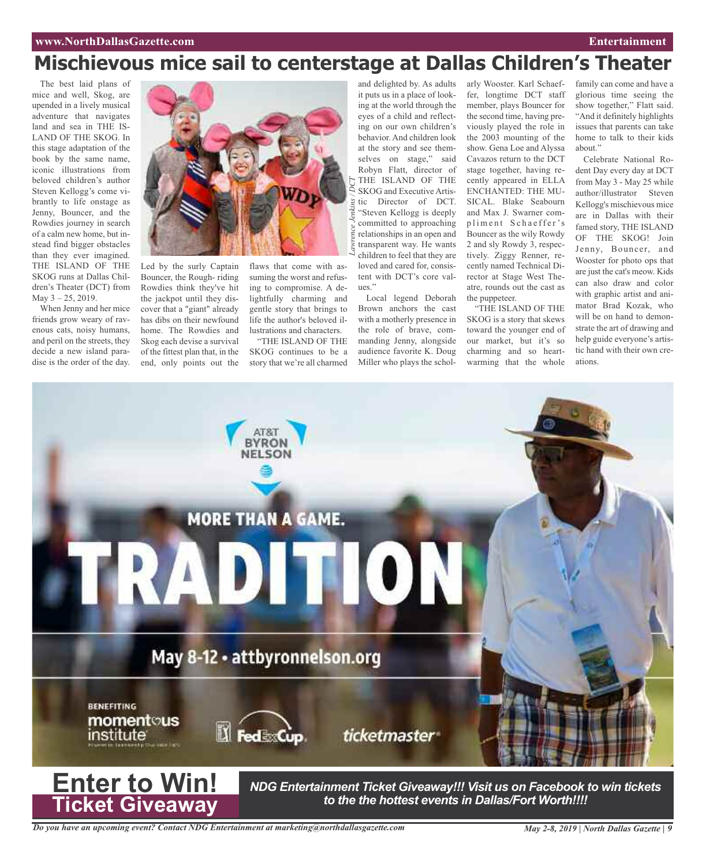### **www.NorthDallasGazette.com Entertainment**

# **Mischievous mice sail to centerstage at Dallas Children's Theater**

The best laid plans of mice and well, Skog, are upended in a lively musical adventure that navigates land and sea in THE IS-LAND OF THE SKOG. In this stage adaptation of the book by the same name, iconic illustrations from beloved children's author Steven Kellogg's come vibrantly to life onstage as Jenny, Bouncer, and the Rowdies journey in search of a calm new home, but instead find bigger obstacles than they ever imagined. THE ISLAND OF THE SKOG runs at Dallas Children's Theater (DCT) from May  $3 - 25$ , 2019.

When Jenny and her mice friends grow weary of ravenous cats, noisy humans, and peril on the streets, they decide a new island paradise is the order of the day.



Led by the surly Captain Bouncer, the Rough- riding Rowdies think they've hit the jackpot until they discover that a "giant" already has dibs on their newfound home. The Rowdies and Skog each devise a survival of the fittest plan that, in the end, only points out the flaws that come with assuming the worst and refusing to compromise. A delightfully charming and gentle story that brings to life the author's beloved illustrations and characters.

"THE ISLAND OF THE SKOG continues to be a story that we're all charmed

and delighted by. As adults it puts us in a place of looking at the world through the eyes of a child and reflecting on our own children's behavior. And children look at the story and see themselves on stage," said Robyn Flatt, director of THE ISLAND OF THE SKOG and Executive Artistic Director of DCT. "Steven Kellogg is deeply committed to approaching relationships in an open and transparent way. He wants children to feel that they are loved and cared for, consistent with DCT's core values."

Local legend Deborah Brown anchors the cast with a motherly presence in the role of brave, commanding Jenny, alongside audience favorite K. Doug Miller who plays the scholarly Wooster. Karl Schaeffer, longtime DCT staff member, plays Bouncer for the second time, having previously played the role in the 2003 mounting of the show. Gena Loe and Alyssa Cavazos return to the DCT stage together, having recently appeared in ELLA ENCHANTED: THE MU-SICAL. Blake Seabourn and Max J. Swarner compliment Schaeffer's Bouncer as the wily Rowdy 2 and sly Rowdy 3, respectively. Ziggy Renner, recently named Technical Director at Stage West Theatre, rounds out the cast as the puppeteer.

"THE ISLAND OF THE SKOG is a story that skews toward the younger end of our market, but it's so charming and so heartwarming that the whole

family can come and have a glorious time seeing the show together," Flatt said. "And it definitely highlights issues that parents can take home to talk to their kids about."

Celebrate National Rodent Day every day at DCT from May 3 - May 25 while author/illustrator Steven Kellogg's mischievous mice are in Dallas with their famed story, THE ISLAND OF THE SKOG! Join Jenny, Bouncer, and Wooster for photo ops that are just the cat's meow. Kids can also draw and color with graphic artist and animator Brad Kozak, who will be on hand to demonstrate the art of drawing and help guide everyone's artistic hand with their own creations.



*Do you have an upcoming event? Contact NDG Entertainment at marketing@northdallasgazette.com*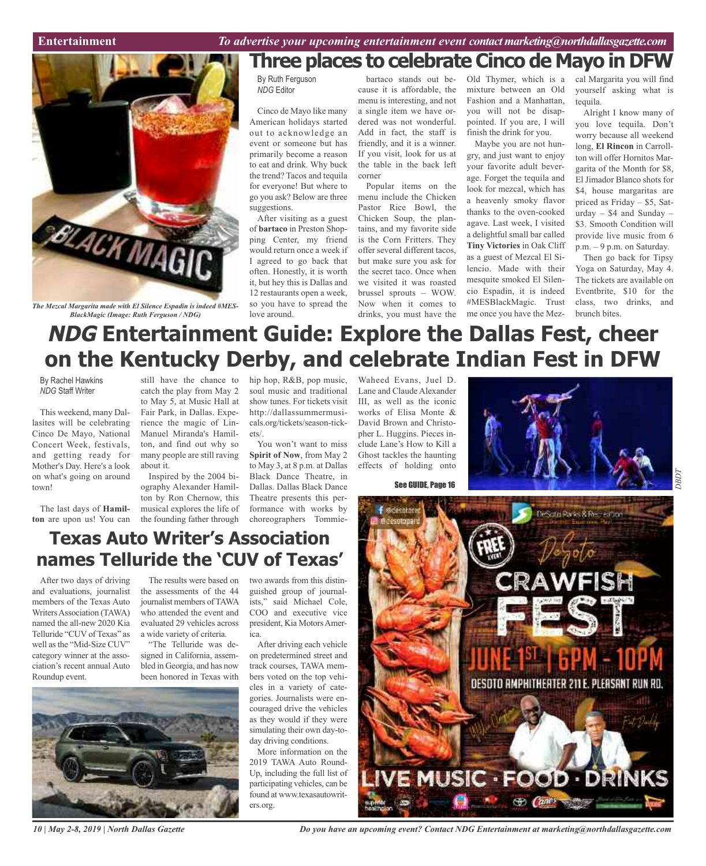### **Car Review Entertainment** *To advertise your upcoming entertainment event contactmarketing@northdallasgazette.com*



*The Mezcal Margarita made with El Silence Espadin is indeed #MES-BlackMagic (Image: Ruth Ferguson / NDG)*

## **Three places to celebrate Cinco de Mayo in DFW**

By Ruth Ferguson *NDG* Editor

Cinco de Mayo like many American holidays started out to acknowledge an event or someone but has primarily become a reason to eat and drink. Why buck the trend? Tacos and tequila for everyone! But where to go you ask? Below are three suggestions.

After visiting as a guest of **bartaco** in Preston Shopping Center, my friend would return once a week if I agreed to go back that often. Honestly, it is worth it, but hey this is Dallas and 12 restaurants open a week, so you have to spread the love around.

bartaco stands out because it is affordable, the menu is interesting, and not a single item we have ordered was not wonderful. Add in fact, the staff is friendly, and it is a winner. If you visit, look for us at the table in the back left corner

Popular items on the menu include the Chicken Pastor Rice Bowl, the Chicken Soup, the plantains, and my favorite side is the Corn Fritters. They offer several different tacos, but make sure you ask for the secret taco. Once when we visited it was roasted brussel sprouts – WOW. Now when it comes to drinks, you must have the

Old Thymer, which is a mixture between an Old Fashion and a Manhattan, you will not be disappointed. If you are, I will finish the drink for you.

Maybe you are not hungry, and just want to enjoy your favorite adult beverage. Forget the tequila and look for mezcal, which has a heavenly smoky flavor thanks to the oven-cooked agave. Last week, I visited a delightful small bar called **Tiny Victories** in Oak Cliff as a guest of Mezcal El Silencio. Made with their mesquite smoked El Silencio Espadin, it is indeed #MESBlackMagic. Trust me once you have the Mezcal Margarita you will find yourself asking what is tequila.

Alright I know many of you love tequila. Don't worry because all weekend long, **El Rincon** in Carrollton will offer Hornitos Margarita of the Month for \$8, El Jimador Blanco shots for \$4, house margaritas are priced as Friday – \$5, Saturday – \$4 and Sunday – \$3. Smooth Condition will provide live music from 6 p.m. – 9 p.m. on Saturday.

Then go back for Tipsy Yoga on Saturday, May 4. The tickets are available on Eventbrite, \$10 for the class, two drinks, and brunch bites.

> *DBD T*

# **NDG Entertainment Guide: Explore the Dallas Fest, cheer on the Kentucky Derby, and celebrate Indian Fest in DFW**

By Rachel Hawkins *NDG* Staff Writer

This weekend, many Dallasites will be celebrating Cinco De Mayo, National Concert Week, festivals, and getting ready for Mother's Day. Here's a look on what's going on around town!

The last days of **Hamilton** are upon us! You can

still have the chance to catch the play from May 2 to May 5, at Music Hall at Fair Park, in Dallas. Experience the magic of Lin-Manuel Miranda's Hamilton, and find out why so many people are still raving about it.

Inspired by the 2004 biography Alexander Hamilton by Ron Chernow, this musical explores the life of the founding father through hip hop, R&B, pop music, soul music and traditional show tunes. For tickets visit http://dallassummermusicals.org/tickets/season-tickets/.

You won't want to miss **Spirit of Now**, from May 2 to May 3, at 8 p.m. at Dallas Black Dance Theatre, in Dallas. Dallas Black Dance Theatre presents this performance with works by choreographers Tommie-

two awards from this distinguished group of journalists," said Michael Cole, COO and executive vice president, Kia MotorsAmer-

After driving each vehicle on predetermined street and track courses, TAWA members voted on the top vehicles in a variety of categories. Journalists were encouraged drive the vehicles as they would if they were simulating their own day-today driving conditions. More information on the 2019 TAWA Auto Round-Up, including the full list of participating vehicles, can be found at www.texasautowrit-

ica.

ers.org.

Waheed Evans, Juel D. Lane and Claude Alexander III, as well as the iconic works of Elisa Monte & David Brown and Christopher L. Huggins. Pieces include Lane's How to Kill a Ghost tackles the haunting effects of holding onto



See GUIDE, Page 16



### **Texas Auto Writer's Association names Telluride the 'CUV of Texas'**

After two days of driving and evaluations, journalist members of the Texas Auto WritersAssociation (TAWA) named the all-new 2020 Kia Telluride "CUV of Texas" as well as the "Mid-Size CUV" category winner at the association's recent annual Auto Roundup event.

The results were based on the assessments of the 44 journalist members of TAWA who attended the event and evaluated 29 vehicles across a wide variety of criteria.

"The Telluride was designed in California, assembled in Georgia, and has now been honored in Texas with

*10 | May 2-8, 2019 | North Dallas Gazette*

*Do you have an upcoming event? Contact NDG Entertainment at marketing@northdallasgazette.com*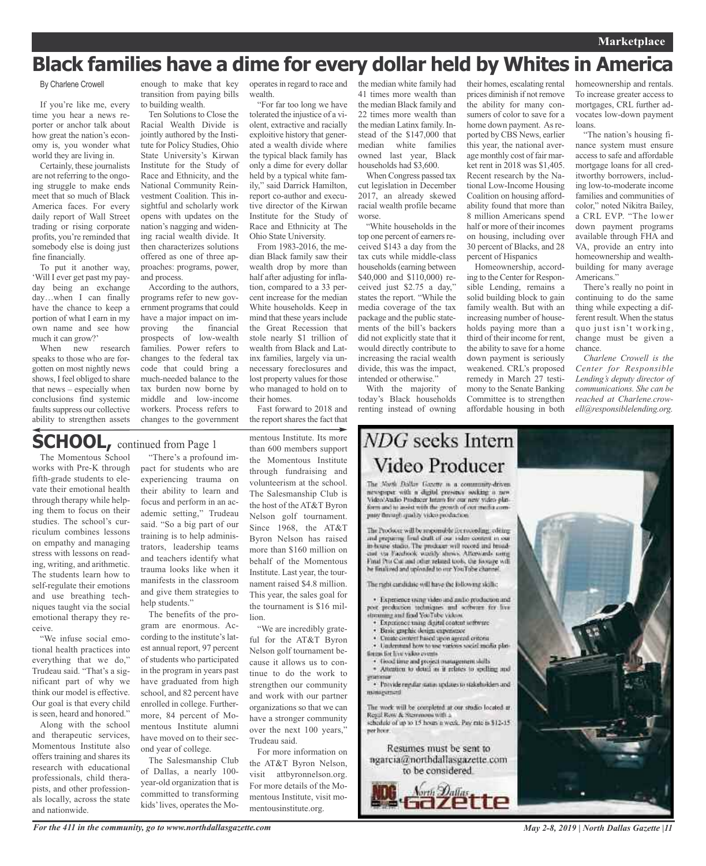# **Black families have a dime for every dollar held by Whites in America**

### By Charlene Crowell

If you're like me, every time you hear a news reporter or anchor talk about how great the nation's economy is, you wonder what world they are living in.

Certainly, these journalists are not referring to the ongoing struggle to make ends meet that so much of Black America faces. For every daily report of Wall Street trading or rising corporate profits, you're reminded that somebody else is doing just fine financially.

To put it another way, 'Will I ever get past my payday being an exchange day…when I can finally have the chance to keep a portion of what I earn in my own name and see how much it can grow?'

When new research speaks to those who are forgotten on most nightly news shows, I feel obliged to share that news – especially when conclusions find systemic faults suppress our collective ability to strengthen assets

enough to make that key transition from paying bills to building wealth.

Ten Solutions to Close the Racial Wealth Divide is jointly authored by the Institute for Policy Studies, Ohio State University's Kirwan Institute for the Study of Race and Ethnicity, and the National Community Reinvestment Coalition. This insightful and scholarly work opens with updates on the nation's nagging and widening racial wealth divide. It then characterizes solutions offered as one of three approaches: programs, power, and process.

According to the authors, programs refer to new government programs that could have a major impact on improving the financial prospects of low-wealth families. Power refers to changes to the federal tax code that could bring a much-needed balance to the tax burden now borne by middle and low-income workers. Process refers to changes to the government

operatesin regard to race and wealth.

"For far too long we have tolerated the injustice of a violent, extractive and racially exploitive history that generated a wealth divide where the typical black family has only a dime for every dollar held by a typical white family," said Darrick Hamilton, report co-author and executive director of the Kirwan Institute for the Study of Race and Ethnicity at The Ohio State University.

From 1983-2016, the median Black family saw their wealth drop by more than half after adjusting for inflation, compared to a 33 percent increase for the median White households. Keep in mind that these years include the Great Recession that stole nearly \$1 trillion of wealth from Black and Latinx families, largely via unnecessary foreclosures and lost property values for those who managed to hold on to their homes.

Fast forward to 2018 and the report shares the fact that

## **SCHOOL,** continued from Page <sup>1</sup>

The Momentous School works with Pre-K through fifth-grade students to elevate their emotional health through therapy while helping them to focus on their studies. The school's curriculum combines lessons on empathy and managing stress with lessons on reading, writing, and arithmetic. The students learn how to self-regulate their emotions and use breathing techniques taught via the social emotional therapy they receive.

"We infuse social emotional health practices into everything that we do," Trudeau said. "That's a significant part of why we think our model is effective. Our goal is that every child is seen, heard and honored."

Along with the school and therapeutic services, Momentous Institute also offers training and shares its research with educational professionals, child therapists, and other professionals locally, across the state and nationwide.

"There's a profound impact for students who are experiencing trauma on their ability to learn and focus and perform in an academic setting," Trudeau said. "So a big part of our training is to help administrators, leadership teams and teachers identify what trauma looks like when it manifests in the classroom and give them strategies to help students."

The benefits of the program are enormous. According to the institute's latest annual report, 97 percent of students who participated in the program in years past have graduated from high school, and 82 percent have enrolled in college. Furthermore, 84 percent of Momentous Institute alumni have moved on to their second year of college.

The Salesmanship Club of Dallas, a nearly 100 year-old organization that is committed to transforming kids'lives, operates the Momentous Institute. Its more than 600 members support the Momentous Institute through fundraising and volunteerism at the school. The Salesmanship Club is the host of the AT&T Byron Nelson golf tournament. Since 1968, the AT&T Byron Nelson has raised more than \$160 million on behalf of the Momentous Institute. Last year, the tournament raised \$4.8 million. This year, the sales goal for the tournament is \$16 million.

"We are incredibly grateful for the AT&T Byron Nelson golf tournament because it allows us to continue to do the work to strengthen our community and work with our partner organizations so that we can have a stronger community over the next 100 years," Trudeau said.

For more information on the AT&T Byron Nelson, visit attbyronnelson.org. For more details of the Momentous Institute, visit momentousinstitute.org.

the median white family had 41 times more wealth than the median Black family and 22 times more wealth than the median Latinx family. Instead of the \$147,000 that median white families owned last year, Black households had \$3,600.

When Congress passed tax cut legislation in December 2017, an already skewed racial wealth profile became worse.

"White households in the top one percent of earners received \$143 a day from the tax cuts while middle-class households(earning between \$40,000 and \$110,000) received just \$2.75 a day," states the report. "While the media coverage of the tax package and the public statements of the bill's backers did not explicitly state that it would directly contribute to increasing the racial wealth divide, this was the impact, intended or otherwise."

With the majority of today's Black households renting instead of owning

## NDG seeks Intern Video Producer

The North Dallas Gazette is a community-driven newspaper with a digital presence socking a new form and to assist with the growth of out media company through quality video production."

The Producer will be responsible for recording, editing and preparing final draft of our video content in our<br>in-house studio. The producer will record and broadand the Facultical washly shows. Afterwards with Final Pro Cor and other related tools, the horize will he finalized and uploaded to our YouTube channel.

The rabi cardidate will have the following skiller

· Experience using video and and/o production and post production industgues and software for live<br>streaming and final YouTube videos.

- · Experience using digital content settware Basic graphic desirts expensesse
- Create circlent haved upon agreed criteria
- · Understand how to use various social media plat-
- forces for live video events.

frood time and project management skills · Attention to detail as it relates to spelling and

· Provide regular status updates to stakeholders and minuscrited

The work will be completed at our studio located at Regal Row & Stemmons with a<br>schedule of up to 15 hours a week. Pay rue is \$12-15 per hoor.

Resumes must be sent to ngarcia@northdallasgazette.com to be considered.



their homes, escalating rental prices diminish if not remove the ability for many consumers of color to save for a home down payment. As reported by CBS News, earlier this year, the national average monthly cost of fair market rent in 2018 was \$1,405. Recent research by the National Low-Income Housing Coalition on housing affordability found that more than 8 million Americans spend half or more of their incomes on housing, including over 30 percent of Blacks, and 28 percent of Hispanics

Homeownership, according to the Center for Responsible Lending, remains a solid building block to gain family wealth. But with an increasing number of households paying more than a third of their income for rent, the ability to save for a home down payment is seriously weakened. CRL's proposed remedy in March 27 testimony to the Senate Banking Committee is to strengthen affordable housing in both

homeownership and rentals. To increase greater access to mortgages, CRL further advocates low-down payment loans.

"The nation's housing finance system must ensure access to safe and affordable mortgage loans for all creditworthy borrowers, including low-to-moderate income families and communities of color," noted Nikitra Bailey, a CRL EVP. "The lower down payment programs available through FHA and VA, provide an entry into homeownership and wealthbuilding for many average Americans."

There's really no point in continuing to do the same thing while expecting a different result. When the status quo just isn't working, change must be given a chance.

*Charlene Crowell is the Center for Responsible Lending's deputy director of communications. She can be reached at Charlene.crowell@responsiblelending.org.*



*For the 411 in the community, go to www.northdallasgazette.com*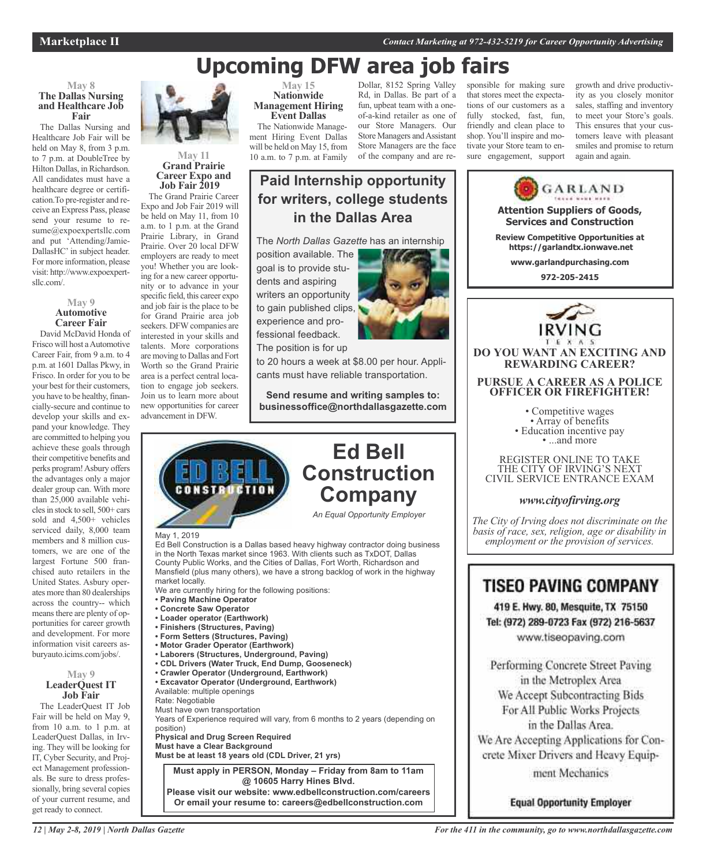**Marketplace II** *Contact Marketing at 972-432-5219 for Career Opportunity Advertising*

# **Upcoming DFW area job fairs**

**in the Dallas Area**

**Ed Bell**

### **May 8 The Dallas Nursing and Healthcare Job Fair**

The Dallas Nursing and Healthcare Job Fair will be held on May 8, from 3 p.m. to 7 p.m. at DoubleTree by Hilton Dallas, in Richardson. All candidates must have a healthcare degree or certification.To pre-register and receive an Express Pass, please send your resume to resume@expoexpertsllc.com and put 'Attending/Jamie-DallasHC' in subject header. For more information, please visit: http://www.expoexpertsllc.com/.

#### **May 9 Automotive Career Fair** David McDavid Honda of

Frisco will host aAutomotive Career Fair, from 9 a.m. to 4 p.m. at 1601 Dallas Pkwy, in Frisco. In order for you to be your best for their customers, you have to be healthy, financially-secure and continue to develop your skills and expand your knowledge. They are committed to helping you achieve these goals through their competitive benefits and perks program!Asbury offers the advantages only a major dealer group can. With more than 25,000 available vehiclesin stock to sell, 500+ cars sold and 4,500+ vehicles serviced daily, 8,000 team members and 8 million customers, we are one of the largest Fortune 500 franchised auto retailers in the United States. Asbury operates more than 80 dealerships across the country-- which meansthere are plenty of opportunities for career growth and development. For more information visit careers asburyauto.icims.com/jobs/.

### **May 9 LeaderQuest IT Job Fair**

The LeaderQuest IT Job Fair will be held on May 9, from  $10$  a.m. to  $1$  p.m. at LeaderQuest Dallas, in Irving. They will be looking for IT, Cyber Security, and Project Management professionals. Be sure to dress professionally, bring several copies of your current resume, and get ready to connect.



#### **May 11 Grand Prairie Career Expo and Job Fair 2019**

The Grand Prairie Career Expo and Job Fair 2019 will be held on May 11, from 10 a.m. to 1 p.m. at the Grand Prairie Library, in Grand Prairie. Over 20 local DFW employers are ready to meet you! Whether you are looking for a new career opportunity or to advance in your specific field, this career expo and job fair is the place to be for Grand Prairie area job seekers. DFW companies are interested in your skills and talents. More corporations are moving to Dallas and Fort Worth so the Grand Prairie area is a perfect central location to engage job seekers. Join us to learn more about new opportunities for career advancement in DFW.

May 1, 2019

market locally.

**• Paving Machine Operator • Concrete Saw Operator • Loader operator (Earthwork) • Finishers (Structures, Paving) • Form Setters (Structures, Paving) • Motor Grader Operator (Earthwork)**

Available: multiple openings

Must have own transportation

**Physical and Drug Screen Required Must have a Clear Background**

Rate: Negotiable

position)

We are currently hiring for the following positions:

**• Laborers (Structures, Underground, Paving) • CDL Drivers (Water Truck, End Dump, Gooseneck) • Crawler Operator (Underground, Earthwork) • Excavator Operator (Underground, Earthwork)**

**Must be at least 18 years old (CDL Driver, 21 yrs)**

**@ 10605 Harry Hines Blvd.**

**May 15 Nationwide Management Hiring Event Dallas** The Nationwide Management Hiring Event Dallas

will be held on May 15, from 10 a.m. to 7 p.m. at Family

position available. The goal is to provide students and aspiring writers an opportunity to gain published clips, experience and professional feedback. The position is for up

Dollar, 8152 Spring Valley Rd, in Dallas. Be part of a fun, upbeat team with a oneof-a-kind retailer as one of our Store Managers. Our Store Managers and Assistant Store Managers are the face of the company and are responsible for making sure that stores meet the expectations of our customers as a fully stocked, fast, fun, friendly and clean place to shop. You'll inspire and motivate your Store team to ensure engagement, support

growth and drive productivity as you closely monitor sales, staffing and inventory to meet your Store's goals. This ensures that your customers leave with pleasant smiles and promise to return again and again.

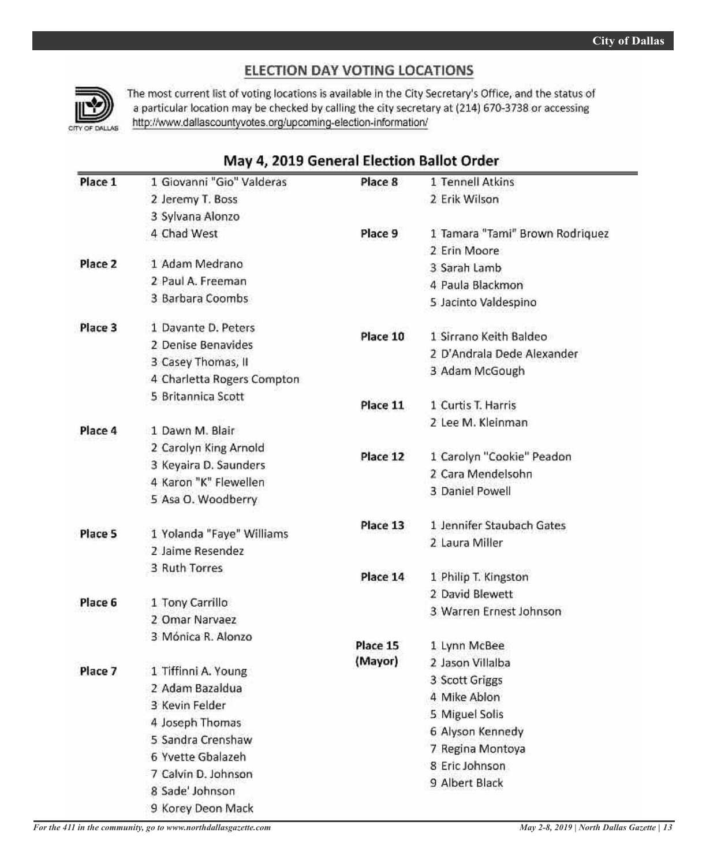### ELECTION DAY VOTING LOCATIONS



The most current list of voting locations is available in the City Secretary's Office, and the status of a particular location may be checked by calling the city secretary at (214) 670-3738 or accessing http://www.dallascountyvotes.org/upcoming-election-information/

### May 4, 2019 General Election Ballot Order

| Place 1 | 1 Giovanni "Gio" Valderas                     | Place 8  | 1 Tennell Atkins                |
|---------|-----------------------------------------------|----------|---------------------------------|
|         | 2 Jeremy T. Boss                              |          | 2 Erik Wilson                   |
|         | 3 Sylvana Alonzo                              |          |                                 |
|         | 4 Chad West                                   | Place 9  | 1 Tamara "Tami" Brown Rodriquez |
|         |                                               |          | 2 Erin Moore                    |
| Place 2 | 1 Adam Medrano                                |          | 3 Sarah Lamb                    |
|         | 2 Paul A. Freeman                             |          | 4 Paula Blackmon                |
|         | 3 Barbara Coombs                              |          | 5 Jacinto Valdespino            |
| Place 3 | 1 Davante D. Peters                           | Place 10 | 1 Sirrano Keith Baldeo          |
|         | 2 Denise Benavides                            |          |                                 |
|         | 3 Casey Thomas, II                            |          | 2 D'Andrala Dede Alexander      |
|         | 4 Charletta Rogers Compton                    |          | 3 Adam McGough                  |
|         | 5 Britannica Scott                            | Place 11 | 1 Curtis T. Harris              |
|         |                                               |          | 2 Lee M. Kleinman               |
| Place 4 | 1 Dawn M. Blair                               |          |                                 |
|         | 2 Carolyn King Arnold                         | Place 12 | 1 Carolyn "Cookie" Peadon       |
|         | 3 Keyaira D. Saunders                         |          | 2 Cara Mendelsohn               |
|         | 4 Karon "K" Flewellen                         |          | 3 Daniel Powell                 |
|         | 5 Asa O. Woodberry                            |          |                                 |
| Place 5 |                                               | Place 13 | 1 Jennifer Staubach Gates       |
|         | 1 Yolanda "Faye" Williams<br>2 Jaime Resendez |          | 2 Laura Miller                  |
|         | 3 Ruth Torres                                 |          |                                 |
|         |                                               | Place 14 | 1 Philip T. Kingston            |
|         |                                               |          | 2 David Blewett                 |
| Place 6 | 1 Tony Carrillo<br>2 Omar Narvaez             |          | 3 Warren Ernest Johnson         |
|         | 3 Mónica R. Alonzo                            |          |                                 |
|         |                                               | Place 15 | 1 Lynn McBee                    |
|         |                                               | (Mayor)  | 2 Jason Villalba                |
| Place 7 | 1 Tiffinni A. Young<br>2 Adam Bazaldua        |          | 3 Scott Griggs                  |
|         | 3 Kevin Felder                                |          | 4 Mike Ablon                    |
|         |                                               |          | 5 Miguel Solis                  |
|         | 4 Joseph Thomas<br>5 Sandra Crenshaw          |          | 6 Alyson Kennedy                |
|         |                                               |          | 7 Regina Montoya                |
|         | 6 Yvette Gbalazeh                             |          | 8 Eric Johnson                  |
|         | 7 Calvin D. Johnson                           |          | 9 Albert Black                  |
|         | 8 Sade' Johnson                               |          |                                 |
|         | 9 Korey Deon Mack                             |          |                                 |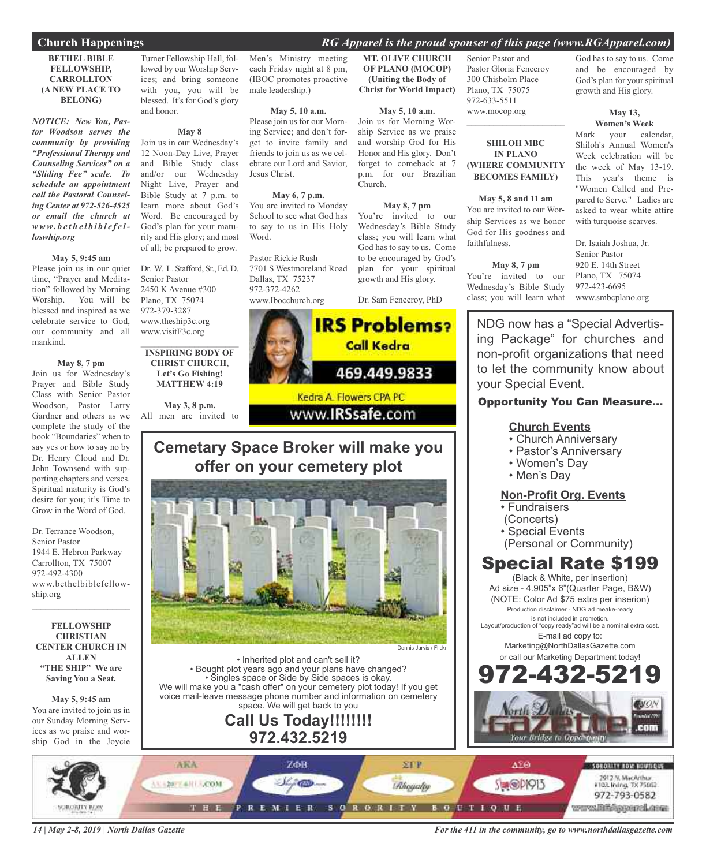### **Church Happenings** *RG Apparel is the proud sponser of this page (www.RGApparel.com)*

#### **BETHEL BIBLE FELLOWSHIP, CARROLLTON (A NEW PLACE TO BELONG)**

*NOTICE: New You, Pastor Woodson serves the community by providing "Professional Therapy and Counseling Services" on a "Sliding Fee" scale. To schedule an appointment call the Pastoral Counseling Center at 972-526-4525 or email the church at www. b e t h e l b i b l e f e lloswhip.org*

#### **May 5, 9:45 am**

Please join us in our quiet time, "Prayer and Meditation" followed by Morning Worship. You will be blessed and inspired as we celebrate service to God, our community and all mankind.

#### **May 8, 7 pm**

Join us for Wednesday's Prayer and Bible Study Class with Senior Pastor Woodson, Pastor Larry Gardner and others as we complete the study of the book "Boundaries" when to say yes or how to say no by Dr. Henry Cloud and Dr. John Townsend with supporting chapters and verses. Spiritual maturity is God's desire for you; it's Time to Grow in the Word of God.

Dr. Terrance Woodson, Senior Pastor 1944 E. Hebron Parkway Carrollton, TX 75007 972-492-4300 www.bethelbiblefellowship.org  $\mathcal{L}=\mathcal{L}^{\mathcal{L}}$  , where  $\mathcal{L}^{\mathcal{L}}$  , we have the set of the set of the set of the set of the set of the set of the set of the set of the set of the set of the set of the set of the set of the set of the set of

**FELLOWSHIP CHRISTIAN CENTER CHURCH IN ALLEN "THE SHIP" We are Saving You a Seat.**

### **May 5, 9:45 am**

You are invited to join us in our Sunday Morning Services as we praise and worship God in the Joycie

Turner Fellowship Hall, followed by our Worship Services; and bring someone with you, you will be blessed. It's for God's glory and honor.

### **May 8**

Join us in our Wednesday's 12 Noon-Day Live, Prayer and Bible Study class and/or our Wednesday Night Live, Prayer and Bible Study at 7 p.m. to learn more about God's Word. Be encouraged by God's plan for your maturity and His glory; and most of all; be prepared to grow.

Dr. W. L. Stafford, Sr., Ed. D. Senior Pastor 2450 K Avenue #300 Plano, TX 75074 972-379-3287 www.theship3c.org www.visitF3c.org

 $\overline{\phantom{a}}$  , and the set of the set of the set of the set of the set of the set of the set of the set of the set of the set of the set of the set of the set of the set of the set of the set of the set of the set of the s **INSPIRING BODY OF CHRIST CHURCH, Let's Go Fishing! MATTHEW 4:19**

**May 3, 8 p.m.** All men are invited to

Men's Ministry meeting each Friday night at 8 pm, (IBOC promotes proactive male leadership.)

**May 5, 10 a.m.** Please join us for our Morning Service; and don't for-

get to invite family and friends to join us as we celebrate our Lord and Savior, Jesus Christ.

**May 6, 7 p.m.** You are invited to Monday School to see what God has to say to us in His Holy Word.

Pastor Rickie Rush 7701 S Westmoreland Road Dallas, TX 75237 972-372-4262 www.Ibocchurch.org

#### **MT. OLIVE CHURCH OF PLANO (MOCOP) (Uniting the Body of Christ for World Impact)**

#### **May 5, 10 a.m.**

Join us for Morning Worship Service as we praise and worship God for His Honor and His glory. Don't forget to comeback at 7 p.m. for our Brazilian Church.

#### **May 8, 7 pm**

You're invited to our Wednesday's Bible Study class; you will learn what God has to say to us. Come to be encouraged by God's plan for your spiritual growth and His glory.

Dr. Sam Fenceroy, PhD



### **Cemetary Space Broker will make you offer on your cemetery plot**



• Inherited plot and can't sell it? • Bought plot years ago and your plans have changed? • Singles space or Side by Side spaces is okay. We will make you a "cash offer" on your cemetery plot today! If you get voice mail-leave message phone number and information on cemetery space. We will get back to you

### **Call Us Today!!!!!!!! 972.432.5219**

Senior Pastor and Pastor Gloria Fenceroy 300 Chisholm Place Plano, TX 75075 972-633-5511 www.mocop.org

### **SHILOH MBC IN PLANO (WHERE COMMUNITY BECOMES FAMILY)**

 $\mathcal{L}=\mathcal{L}^{\mathcal{L}}$  , where  $\mathcal{L}^{\mathcal{L}}$  , we have the set of the set of the set of the set of the set of the set of the set of the set of the set of the set of the set of the set of the set of the set of the set of

#### **May 5, 8 and 11 am**

You are invited to our Worship Services as we honor God for His goodness and faithfulness.

### **May 8, 7 pm**

You're invited to our Wednesday's Bible Study class; you will learn what

God has to say to us. Come and be encouraged by God's plan for your spiritual growth and His glory.

#### **May 13, Women's Week**

Mark your calendar, Shiloh's Annual Women's Week celebration will be the week of May 13-19. This year's theme is "Women Called and Prepared to Serve." Ladies are asked to wear white attire with turquoise scarves.

Dr. Isaiah Joshua, Jr. Senior Pastor 920 E. 14th Street Plano, TX 75074 972-423-6695 www.smbcplano.org

NDG now has a "Special Advertising Package" for churches and non-profit organizations that need to let the community know about your Special Event.

### Opportunity You Can Measure...

### **Church Events**

- Church Anniversary
- Pastor's Anniversary
- Women's Day
- Men's Day

### **Non-Profit Org. Events**

- Fundraisers
- (Concerts)
- Special Events
- (Personal or Community)

### Special Rate \$199

(Black & White, per insertion) Ad size - 4.905"x 6"(Quarter Page, B&W) (NOTE: Color Ad \$75 extra per inserion) Production disclaimer - NDG ad meake-ready is not included in promotion.

Layout/production of "copy ready"ad will be a nominal extra cost. E-mail ad copy to:

> Marketing@NorthDallasGazette.com or call our Marketing Department today!





*14 | May 2-8, 2019 | North Dallas Gazette*

*For the 411 in the community, go to www.northdallasgazette.com*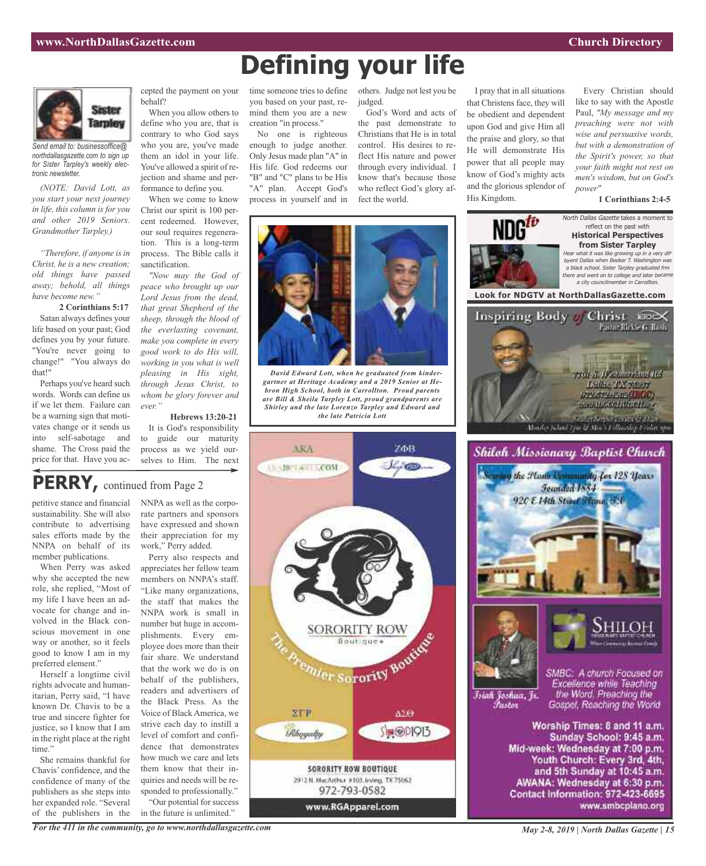

*Send email to: businessoffice@ northdallasgazette.com to sign up for Sister Tarpley's weekly electronic newsletter.*

*(NOTE: David Lott, as you start your next journey in life, this column is for you and other 2019 Seniors. Grandmother Tarpley.)*

*"Therefore, if anyone isin Christ, he is a new creation; old things have passed away; behold, all things have become new."*

**2 Corinthians 5:17** Satan always defines your life based on your past; God defines you by your future. "You're never going to change!" "You always do that!"

Perhaps you've heard such words. Words can define us if we let them. Failure can be a warning sign that motivates change or it sends us into self-sabotage and shame. The Cross paid the price for that. Have you accepted the payment on your behalf?

When you allow others to define who you are, that is contrary to who God says who you are, you've made them an idol in your life. You've allowed a spirit of rejection and shame and performance to define you.

When we come to know Christ our spirit is 100 percent redeemed. However, our soul requires regeneration. This is a long-term process. The Bible calls it sanctification.

*"Now may the God of peace who brought up our Lord Jesus from the dead, that great Shepherd of the sheep, through the blood of the everlasting covenant, make you complete in every good work to do His will, working in you what is well pleasing in His sight, through Jesus Christ, to whom be glory forever and ever."*

**Hebrews 13:20-21** It is God's responsibility to guide our maturity process as we yield ourselves to Him. The next

# **PERRY,** continued from Page <sup>2</sup>

petitive stance and financial sustainability. She will also contribute to advertising sales efforts made by the NNPA on behalf of its member publications.

When Perry was asked why she accepted the new role, she replied, "Most of my life I have been an advocate for change and involved in the Black conscious movement in one way or another, so it feels good to know I am in my preferred element."

Herself a longtime civil rights advocate and humanitarian, Perry said, "I have known Dr. Chavis to be a true and sincere fighter for justice, so I know that I am in the right place at the right time."

She remains thankful for Chavis' confidence, and the confidence of many of the publishers as she steps into her expanded role. "Several of the publishers in the NNPA as well as the corporate partners and sponsors have expressed and shown their appreciation for my work," Perry added.

Perry also respects and appreciates her fellow team members on NNPA's staff. "Like many organizations, the staff that makes the NNPA work is small in number but huge in accomplishments. Every employee does more than their fair share. We understand that the work we do is on behalf of the publishers, readers and advertisers of the Black Press. As the Voice of Black America, we strive each day to instill a level of comfort and confidence that demonstrates how much we care and lets them know that their inquiries and needs will be responded to professionally." "Our potential for success in the future is unlimited."

time someone tries to define you based on your past, remind them you are a new creation "in process."

No one is righteous enough to judge another. Only Jesus made plan "A" in His life. God redeems our "B" and "C" plans to be His "A" plan. Accept God's process in yourself and in

AKA

A AMPLANT SCOM

**XTP** 

Rhogalty

others. Judge not lest you be judged.

**Defining your life**

*David Edward Lott, when he graduated from kindergartner at Heritage Academy and a 2019 Senior at Hebron High School, both in Carrollton. Proud parents are Bill & Sheila Tarpley Lott, proud grandparents are Shirley and the late Lorenzo Tarpley and Edward and the late Patricia Lott*

SORORITY ROW

 $\Delta 2\Theta$ 

S<sub>要</sub>@DI913

SORORITY ROW

**SORORITY ROW BOUTIQUE** 

2912 N. MacArthur #103. Irving, TX 75062

972-793-0582

www.RGApparel.com

God's Word and acts of the past demonstrate to Christians that He is in total control. His desires to reflect His nature and power through every individual. I know that's because those who reflect God's glory affect the world.

ZOB

 $2000$ 

I pray that in all situations that Christens face, they will be obedient and dependent upon God and give Him all the praise and glory, so that He will demonstrate His power that all people may know of God's mighty acts and the glorious splendor of

Every Christian should like to say with the Apostle Paul, *"My message and my preaching were not with wise and persuasive words, but with a demonstration of the Spirit's power, so that your faith might not rest on men's wisdom, but on God's power"*